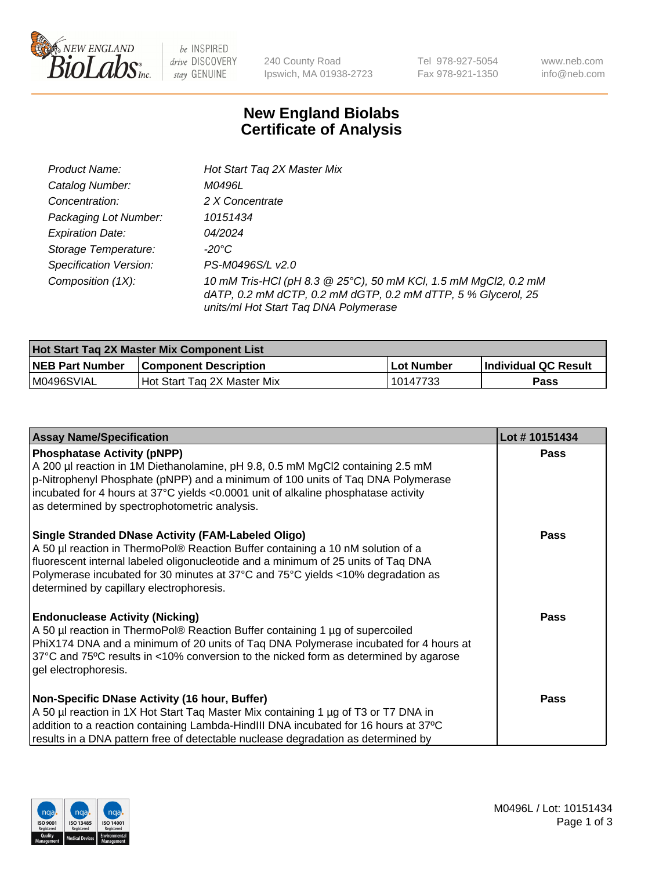

 $be$  INSPIRED drive DISCOVERY stay GENUINE

240 County Road Ipswich, MA 01938-2723 Tel 978-927-5054 Fax 978-921-1350 www.neb.com info@neb.com

## **New England Biolabs Certificate of Analysis**

| Product Name:                 | Hot Start Tag 2X Master Mix                                                                                                                                               |
|-------------------------------|---------------------------------------------------------------------------------------------------------------------------------------------------------------------------|
| Catalog Number:               | M0496L                                                                                                                                                                    |
| Concentration:                | 2 X Concentrate                                                                                                                                                           |
| Packaging Lot Number:         | 10151434                                                                                                                                                                  |
| <b>Expiration Date:</b>       | 04/2024                                                                                                                                                                   |
| Storage Temperature:          | -20°C                                                                                                                                                                     |
| <b>Specification Version:</b> | PS-M0496S/L v2.0                                                                                                                                                          |
| Composition (1X):             | 10 mM Tris-HCl (pH 8.3 @ 25°C), 50 mM KCl, 1.5 mM MgCl2, 0.2 mM<br>dATP, 0.2 mM dCTP, 0.2 mM dGTP, 0.2 mM dTTP, 5 % Glycerol, 25<br>units/ml Hot Start Taq DNA Polymerase |

| <b>Hot Start Tag 2X Master Mix Component List</b> |                              |            |                      |  |
|---------------------------------------------------|------------------------------|------------|----------------------|--|
| <b>NEB Part Number</b>                            | <b>Component Description</b> | Lot Number | Individual QC Result |  |
| IM0496SVIAL                                       | Hot Start Tag 2X Master Mix  | 10147733   | Pass                 |  |

| <b>Assay Name/Specification</b>                                                                                                                                                                                                                                                                                                                                  | Lot #10151434 |
|------------------------------------------------------------------------------------------------------------------------------------------------------------------------------------------------------------------------------------------------------------------------------------------------------------------------------------------------------------------|---------------|
| <b>Phosphatase Activity (pNPP)</b><br>A 200 µl reaction in 1M Diethanolamine, pH 9.8, 0.5 mM MgCl2 containing 2.5 mM<br>p-Nitrophenyl Phosphate (pNPP) and a minimum of 100 units of Taq DNA Polymerase<br>incubated for 4 hours at 37°C yields <0.0001 unit of alkaline phosphatase activity<br>as determined by spectrophotometric analysis.                   | <b>Pass</b>   |
| <b>Single Stranded DNase Activity (FAM-Labeled Oligo)</b><br>A 50 µl reaction in ThermoPol® Reaction Buffer containing a 10 nM solution of a<br>fluorescent internal labeled oligonucleotide and a minimum of 25 units of Taq DNA<br>Polymerase incubated for 30 minutes at 37°C and 75°C yields <10% degradation as<br>determined by capillary electrophoresis. | <b>Pass</b>   |
| <b>Endonuclease Activity (Nicking)</b><br>A 50 µl reaction in ThermoPol® Reaction Buffer containing 1 µg of supercoiled<br>PhiX174 DNA and a minimum of 20 units of Taq DNA Polymerase incubated for 4 hours at<br>37°C and 75°C results in <10% conversion to the nicked form as determined by agarose<br>gel electrophoresis.                                  | Pass          |
| Non-Specific DNase Activity (16 hour, Buffer)<br>A 50 µl reaction in 1X Hot Start Taq Master Mix containing 1 µg of T3 or T7 DNA in<br>addition to a reaction containing Lambda-HindIII DNA incubated for 16 hours at 37°C<br>results in a DNA pattern free of detectable nuclease degradation as determined by                                                  | <b>Pass</b>   |

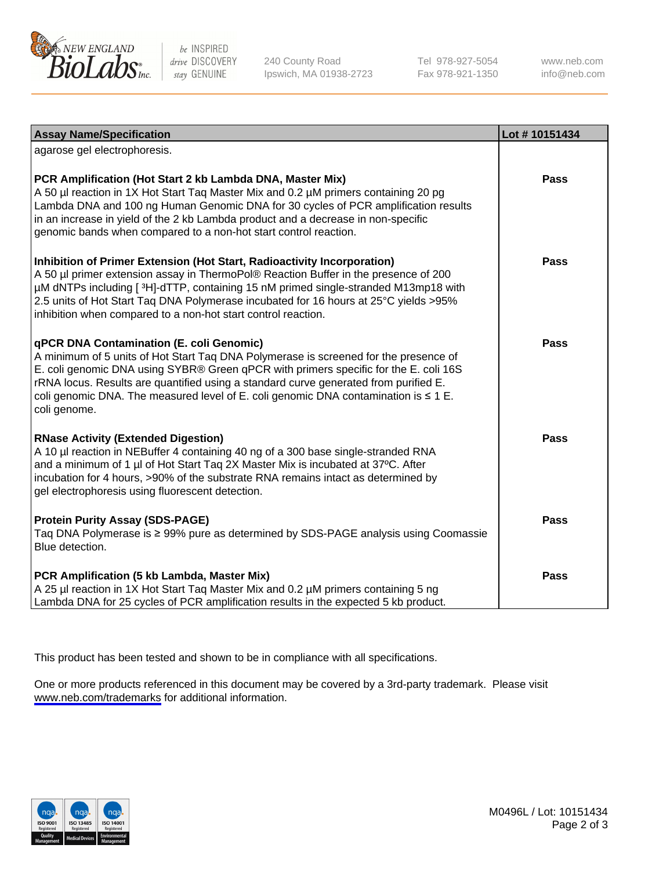

be INSPIRED drive DISCOVERY stay GENUINE

240 County Road Ipswich, MA 01938-2723 Tel 978-927-5054 Fax 978-921-1350

www.neb.com info@neb.com

| <b>Assay Name/Specification</b>                                                                                                                                                                                                                                                                                                                                                                                                     | Lot #10151434 |
|-------------------------------------------------------------------------------------------------------------------------------------------------------------------------------------------------------------------------------------------------------------------------------------------------------------------------------------------------------------------------------------------------------------------------------------|---------------|
| agarose gel electrophoresis.                                                                                                                                                                                                                                                                                                                                                                                                        |               |
| PCR Amplification (Hot Start 2 kb Lambda DNA, Master Mix)<br>A 50 µl reaction in 1X Hot Start Taq Master Mix and 0.2 µM primers containing 20 pg<br>Lambda DNA and 100 ng Human Genomic DNA for 30 cycles of PCR amplification results<br>in an increase in yield of the 2 kb Lambda product and a decrease in non-specific<br>genomic bands when compared to a non-hot start control reaction.                                     | <b>Pass</b>   |
| Inhibition of Primer Extension (Hot Start, Radioactivity Incorporation)<br>A 50 µl primer extension assay in ThermoPol® Reaction Buffer in the presence of 200<br>µM dNTPs including [3H]-dTTP, containing 15 nM primed single-stranded M13mp18 with<br>2.5 units of Hot Start Taq DNA Polymerase incubated for 16 hours at 25°C yields > 95%<br>inhibition when compared to a non-hot start control reaction.                      | <b>Pass</b>   |
| <b>qPCR DNA Contamination (E. coli Genomic)</b><br>A minimum of 5 units of Hot Start Taq DNA Polymerase is screened for the presence of<br>E. coli genomic DNA using SYBR® Green qPCR with primers specific for the E. coli 16S<br>rRNA locus. Results are quantified using a standard curve generated from purified E.<br>coli genomic DNA. The measured level of E. coli genomic DNA contamination is $\leq 1$ E.<br>coli genome. | <b>Pass</b>   |
| <b>RNase Activity (Extended Digestion)</b><br>A 10 µl reaction in NEBuffer 4 containing 40 ng of a 300 base single-stranded RNA<br>and a minimum of 1 µl of Hot Start Taq 2X Master Mix is incubated at 37°C. After<br>incubation for 4 hours, >90% of the substrate RNA remains intact as determined by<br>gel electrophoresis using fluorescent detection.                                                                        | <b>Pass</b>   |
| <b>Protein Purity Assay (SDS-PAGE)</b><br>Taq DNA Polymerase is ≥ 99% pure as determined by SDS-PAGE analysis using Coomassie<br>Blue detection.                                                                                                                                                                                                                                                                                    | Pass          |
| PCR Amplification (5 kb Lambda, Master Mix)<br>A 25 µl reaction in 1X Hot Start Taq Master Mix and 0.2 µM primers containing 5 ng<br>Lambda DNA for 25 cycles of PCR amplification results in the expected 5 kb product.                                                                                                                                                                                                            | Pass          |

This product has been tested and shown to be in compliance with all specifications.

One or more products referenced in this document may be covered by a 3rd-party trademark. Please visit <www.neb.com/trademarks>for additional information.